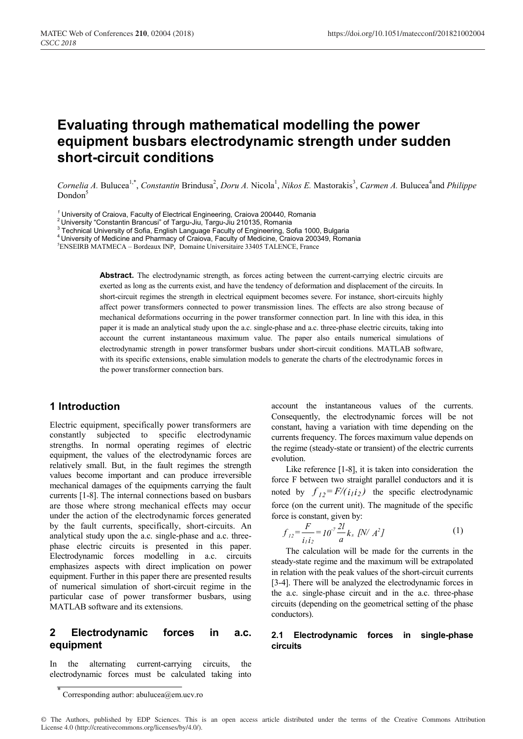# **Evaluating through mathematical modelling the power equipment busbars electrodynamic strength under sudden short-circuit conditions**

Cornelia A. Bulucea<sup>1,\*</sup>, *Constantin* Brindusa<sup>2</sup>, *Doru A.* Nicola<sup>1</sup>, *Nikos E.* Mastorakis<sup>3</sup>, *Carmen A.* Bulucea<sup>4</sup>and *Philippe* Dondon<sup>5</sup>

<sup>1</sup> University of Craiova, Faculty of Electrical Engineering, Craiova 200440, Romania<br><sup>2</sup> University "Constantin Brancusi" of Targu-Jiu, Targu-Jiu 210135, Romania

<sup>3</sup> Technical University of Sofia, English Language Faculty of Engineering, Sofia 1000, Bulgaria

<sup>4</sup> University of Medicine and Pharmacy of Craiova, Faculty of Medicine, Craiova 200349, Romania

5 ENSEIRB MATMECA – Bordeaux INP, Domaine Universitaire 33405 TALENCE, France

Abstract. The electrodynamic strength, as forces acting between the current-carrying electric circuits are exerted as long as the currents exist, and have the tendency of deformation and displacement of the circuits. In short-circuit regimes the strength in electrical equipment becomes severe. For instance, short-circuits highly affect power transformers connected to power transmission lines. The effects are also strong because of mechanical deformations occurring in the power transformer connection part. In line with this idea, in this paper it is made an analytical study upon the a.c. single-phase and a.c. three-phase electric circuits, taking into account the current instantaneous maximum value. The paper also entails numerical simulations of electrodynamic strength in power transformer busbars under short-circuit conditions. MATLAB software, with its specific extensions, enable simulation models to generate the charts of the electrodynamic forces in the power transformer connection bars.

### **1 Introduction**

Electric equipment, specifically power transformers are constantly subjected to specific electrodynamic strengths. In normal operating regimes of electric equipment, the values of the electrodynamic forces are relatively small. But, in the fault regimes the strength values become important and can produce irreversible mechanical damages of the equipments carrying the fault currents [1-8]. The internal connections based on busbars are those where strong mechanical effects may occur under the action of the electrodynamic forces generated by the fault currents, specifically, short-circuits. An analytical study upon the a.c. single-phase and a.c. threephase electric circuits is presented in this paper. Electrodynamic forces modelling in a.c. circuits emphasizes aspects with direct implication on power equipment. Further in this paper there are presented results of numerical simulation of short-circuit regime in the particular case of power transformer busbars, using MATLAB software and its extensions.

## **2 Electrodynamic forces in a.c. equipment**

In the alternating current-carrying circuits, the electrodynamic forces must be calculated taking into account the instantaneous values of the currents. Consequently, the electrodynamic forces will be not constant, having a variation with time depending on the currents frequency. The forces maximum value depends on the regime (steady-state or transient) of the electric currents evolution.

 Like reference [1-8], it is taken into consideration the force F between two straight parallel conductors and it is noted by  $f_{12} = F/(i_1 i_2)$  the specific electrodynamic force (on the current unit). The magnitude of the specific force is constant, given by:

$$
f_{12} = \frac{F}{i_1 i_2} = 10^{-7} \frac{2l}{a} k_s \, [N / A^2]
$$
 (1)

 The calculation will be made for the currents in the steady-state regime and the maximum will be extrapolated in relation with the peak values of the short-circuit currents [3-4]. There will be analyzed the electrodynamic forces in the a.c. single-phase circuit and in the a.c. three-phase circuits (depending on the geometrical setting of the phase conductors).

#### **2.1 Electrodynamic forces in single-phase circuits**

Corresponding author: abulucea@em.ucv.ro

<sup>©</sup> The Authors, published by EDP Sciences. This is an open access article distributed under the terms of the Creative Commons Attribution License 4.0 (http://creativecommons.org/licenses/by/4.0/).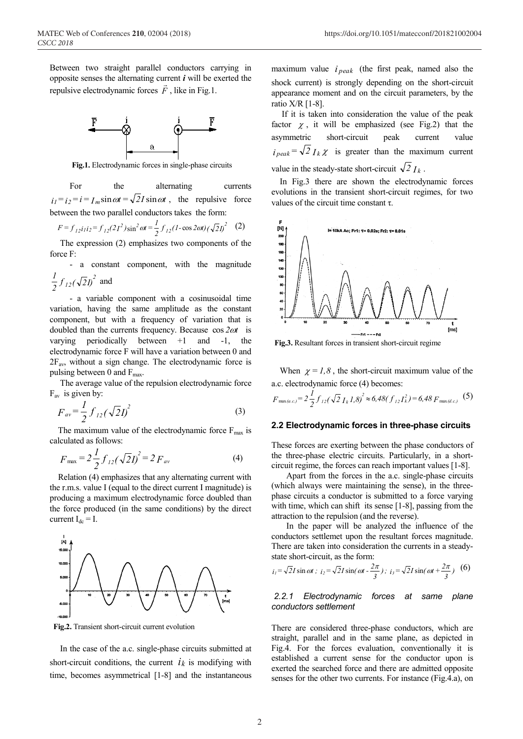Between two straight parallel conductors carrying in opposite senses the alternating current *i* will be exerted the repulsive electrodynamic forces *F* , like in Fig.1.



**Fig.1.** Electrodynamic forces in single-phase circuits

For the alternating currents  $i_l = i_l = I_m \sin \omega t = \sqrt{2}I \sin \omega t$ , the repulsive force between the two parallel conductors takes the form:

$$
F = f_{12}i_1i_2 = f_{12}(2I^2)\sin^2\omega t = \frac{1}{2}f_{12}(1-\cos 2\omega t)(\sqrt{2}I)^2
$$
 (2)

 The expression (2) emphasizes two components of the force F:

a constant component, with the magnitude  $\frac{1}{2} f_{12}(\sqrt{2}l)^2$  and

- a variable component with a cosinusoidal time variation, having the same amplitude as the constant component, but with a frequency of variation that is doubled than the currents frequency. Because cos *2t* is varying periodically between +1 and -1, the electrodynamic force F will have a variation between 0 and  $2F_{av}$ , without a sign change. The electrodynamic force is pulsing between 0 and  $F_{\text{max}}$ .

 The average value of the repulsion electrodynamic force  $F_{av}$  is given by:

$$
F_{av} = \frac{1}{2} f_{12} (\sqrt{2}I)^2
$$
 (3)

The maximum value of the electrodynamic force  $F_{\text{max}}$  is calculated as follows:

$$
F_{\text{max}} = 2\frac{1}{2}f_{12}(\sqrt{2}I)^2 = 2F_{av}
$$
 (4)

 Relation (4) emphasizes that any alternating current with the r.m.s. value I (equal to the direct current I magnitude) is producing a maximum electrodynamic force doubled than the force produced (in the same conditions) by the direct current  $I_{dc} = I$ .



**Fig.2.** Transient short-circuit current evolution

 In the case of the a.c. single-phase circuits submitted at short-circuit conditions, the current  $i_k$  is modifying with time, becomes asymmetrical [1-8] and the instantaneous

maximum value *i peak* (the first peak, named also the shock current) is strongly depending on the short-circuit appearance moment and on the circuit parameters, by the ratio X/R [1-8].

 If it is taken into consideration the value of the peak factor  $\chi$ , it will be emphasized (see Fig.2) that the asymmetric short-circuit peak current value  $i_{peak} = \sqrt{2} I_k \chi$  is greater than the maximum current value in the steady-state short-circuit  $\sqrt{2} I_k$ .

 In Fig.3 there are shown the electrodynamic forces evolutions in the transient short-circuit regimes, for two values of the circuit time constant  $\tau$ .



**Fig.3.** Resultant forces in transient short-circuit regime

When  $\chi = 1,8$ , the short-circuit maximum value of the a.c. electrodynamic force (4) becomes:

$$
F_{\max(a.c.)} = 2\frac{1}{2} f_{12}(\sqrt{2} I_k I_s)^2 \approx 6.48(f_{12} I_k^2) = 6.48 F_{\max(d.c.)}
$$
 (5)

#### **2.2 Electrodynamic forces in three-phase circuits**

These forces are exerting between the phase conductors of the three-phase electric circuits. Particularly, in a shortcircuit regime, the forces can reach important values [1-8].

Apart from the forces in the a.c. single-phase circuits (which always were maintaining the sense), in the threephase circuits a conductor is submitted to a force varying with time, which can shift its sense [1-8], passing from the attraction to the repulsion (and the reverse).

In the paper will be analyzed the influence of the conductors settlemet upon the resultant forces magnitude. There are taken into consideration the currents in a steadystate short-circuit, as the form:

$$
i_1 = \sqrt{2}I \sin \omega t
$$
;  $i_2 = \sqrt{2}I \sin(\omega t - \frac{2\pi}{3})$ ;  $i_3 = \sqrt{2}I \sin(\omega t + \frac{2\pi}{3})$  (6)

#### *2.2.1 Electrodynamic forces at same plane conductors settlement*

There are considered three-phase conductors, which are straight, parallel and in the same plane, as depicted in Fig.4. For the forces evaluation, conventionally it is established a current sense for the conductor upon is exerted the searched force and there are admitted opposite senses for the other two currents. For instance (Fig.4.a), on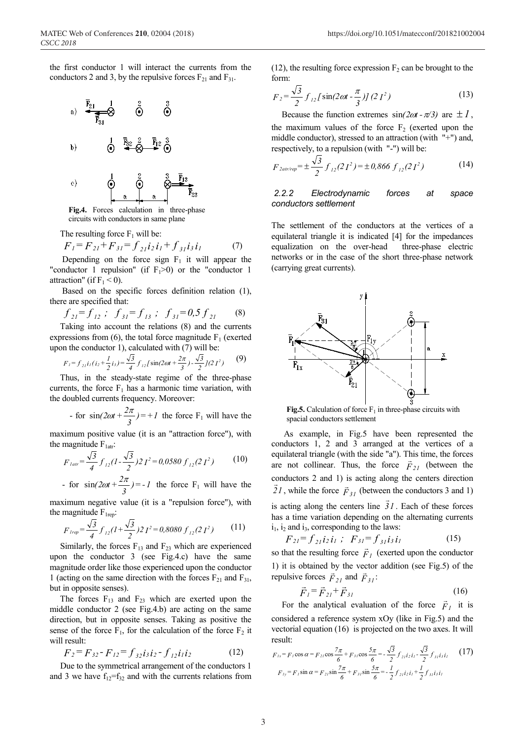the first conductor 1 will interact the currents from the conductors 2 and 3, by the repulsive forces  $F_{21}$  and  $F_{31}$ .





The resulting force  $F_1$  will be:

$$
F_{I} = F_{2I} + F_{3I} = f_{2I} i_2 i_1 + f_{3I} i_3 i_1 \tag{7}
$$

Depending on the force sign  $F_1$  it will appear the "conductor 1 repulsion" (if  $F_1>0$ ) or the "conductor 1 attraction" (if  $F_1 < 0$ ).

 Based on the specific forces definition relation (1), there are specified that:

$$
f_{21} = f_{12}
$$
;  $f_{31} = f_{13}$ ;  $f_{31} = 0.5 f_{21}$  (8)

 Taking into account the relations (8) and the currents expressions from  $(6)$ , the total force magnitude  $F_1$  (exerted upon the conductor 1), calculated with (7) will be:

$$
F_1 = f_{21}i_1(i_2 + \frac{1}{2}i_3) = \frac{\sqrt{3}}{4} f_{12} \left[ \sin(2\omega t + \frac{2\pi}{3}) - \frac{\sqrt{3}}{2} J(2I^2) \right] \tag{9}
$$

 Thus, in the steady-state regime of the three-phase currents, the force  $F_1$  has a harmonic time variation, with the doubled currents frequency. Moreover:

- for  $\sin(2\omega t + \frac{2\pi}{3}) = +1$  the force F<sub>1</sub> will have the

maximum positive value (it is an "attraction force"), with the magnitude  $F_{1\text{atr}}$ :

$$
F_{Iar} = \frac{\sqrt{3}}{4} f_{12} (I - \frac{\sqrt{3}}{2}) 2 I^2 = 0.0580 f_{12} (2 I^2)
$$
 (10)

- for  $\sin(2\omega t + \frac{2\pi}{3}) = -1$  the force F<sub>1</sub> will have the

maximum negative value (it is a "repulsion force"), with the magnitude  $F_{1rep}$ :

$$
F_{Irep} = \frac{\sqrt{3}}{4} f_{12} (I + \frac{\sqrt{3}}{2}) 2 I^2 = 0,8080 f_{12} (2 I^2)
$$
 (11)

Similarly, the forces  $F_{13}$  and  $F_{23}$  which are experienced upon the conductor 3 (see Fig.4.c) have the same magnitude order like those experienced upon the conductor 1 (acting on the same direction with the forces  $F_{21}$  and  $F_{31}$ , but in opposite senses).

The forces  $F_{13}$  and  $F_{23}$  which are exerted upon the middle conductor 2 (see Fig.4.b) are acting on the same direction, but in opposite senses. Taking as positive the sense of the force  $F_1$ , for the calculation of the force  $F_2$  it will result:

$$
F_2 = F_{32} - F_{12} = f_{32} i_3 i_2 - f_{12} i_1 i_2 \tag{12}
$$

 Due to the symmetrical arrangement of the conductors 1 and 3 we have  $f_{12}=f_{32}$  and with the currents relations from (12), the resulting force expression  $F_2$  can be brought to the form:

$$
F_2 = \frac{\sqrt{3}}{2} f_{12} \left[ \sin(2\omega t - \frac{\pi}{3}) \right] (2 I^2)
$$
 (13)

Because the function extremes  $sin(2\omega t - \pi/3)$  are  $\pm 1$ , the maximum values of the force  $F_2$  (exerted upon the middle conductor), stressed to an attraction (with "+") and, respectively, to a repulsion (with "-") will be:

$$
F_{2ar/rep} = \pm \frac{\sqrt{3}}{2} f_{12}(2I^2) = \pm 0.866 f_{12}(2I^2)
$$
 (14)

#### *2.2.2 Electrodynamic forces at space conductors settlement*

The settlement of the conductors at the vertices of a equilateral triangle it is indicated [4] for the impedances equalization on the over-head three-phase electric networks or in the case of the short three-phase network (carrying great currents).



**Fig.5.** Calculation of force  $F_1$  in three-phase circuits with spacial conductors settlement

As example, in Fig.5 have been represented the conductors 1, 2 and 3 arranged at the vertices of a equilateral triangle (with the side "a"). This time, the forces are not collinear. Thus, the force  $\vec{F}_{21}$  (between the conductors 2 and 1) is acting along the centers direction  $\overline{2}I$ , while the force  $\overline{F}_{3I}$  (between the conductors 3 and 1) is acting along the centers line  $\vec{3}$  *l*. Each of these forces

has a time variation depending on the alternating currents  $i<sub>1</sub>$ ,  $i<sub>2</sub>$  and  $i<sub>3</sub>$ , corresponding to the laws:

$$
F_{2I} = f_{2I} i_2 i_1 ; F_{3I} = f_{3I} i_3 i_1
$$
 (15)  
so that the resulting force  $\vec{F}_I$  (exerted upon the conductor

1) it is obtained by the vector addition (see Fig.5) of the repulsive forces  $\vec{F}_{21}$  and  $\vec{F}_{31}$ :

$$
\vec{F}_I = \vec{F}_{2I} + \vec{F}_{3I} \tag{16}
$$

For the analytical evaluation of the force  $\vec{F}_I$  it is considered a reference system xOy (like in Fig.5) and the vectorial equation (16) is projected on the two axes. It will result:

$$
F_{1x} = F_1 \cos \alpha = F_{21} \cos \frac{7\pi}{6} + F_{31} \cos \frac{5\pi}{6} = -\frac{\sqrt{3}}{2} f_{21} i_2 i_1 - \frac{\sqrt{3}}{2} f_{31} i_3 i_1
$$
 (17)  

$$
F_{1y} = F_1 \sin \alpha = F_{21} \sin \frac{7\pi}{6} + F_{31} \sin \frac{5\pi}{6} = -\frac{1}{2} f_{21} i_2 i_1 + \frac{1}{2} f_{31} i_3 i_1
$$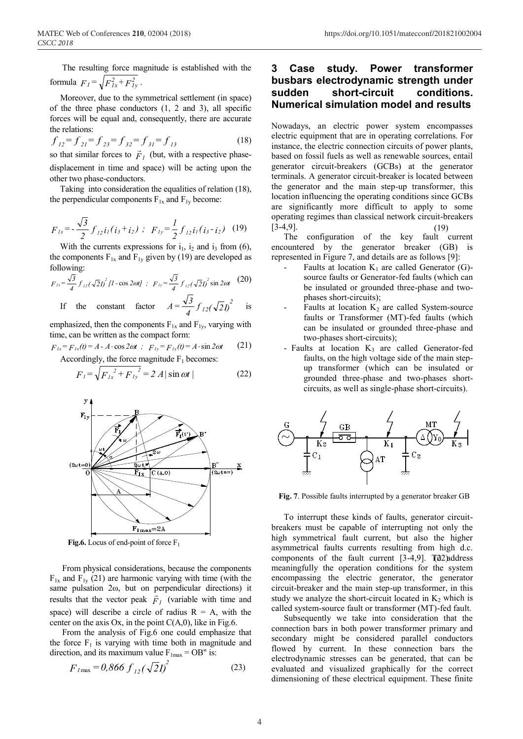The resulting force magnitude is established with the formula  $F_l = \sqrt{F_{lx}^2 + F_{ly}^2}$ .

 Moreover, due to the symmetrical settlement (in space) of the three phase conductors (1, 2 and 3), all specific forces will be equal and, consequently, there are accurate the relations:

$$
f_{12} = f_{21} = f_{23} = f_{32} = f_{31} = f_{13}
$$
 (18)

so that similar forces to  $\vec{F}_I$  (but, with a respective phasedisplacement in time and space) will be acting upon the other two phase-conductors.

 Taking into consideration the equalities of relation (18), the perpendicular components  $F_{1x}$  and  $F_{1y}$  become:

*<sup>f</sup> <sup>i</sup> (i -i ) <sup>2</sup> <sup>1</sup> <sup>f</sup> <sup>i</sup> (i +i ) ; F <sup>=</sup> <sup>2</sup> 3 F =- 1x <sup>12</sup> <sup>1</sup> <sup>3</sup> <sup>2</sup> 1y <sup>12</sup> <sup>1</sup> <sup>3</sup> <sup>2</sup>* (19) (19) The configuration of the key fault current

With the currents expressions for  $i_1$ ,  $i_2$  and  $i_3$  from (6), the components  $F_{1x}$  and  $F_{1y}$  given by (19) are developed as following:

$$
F_{1x} = \frac{\sqrt{3}}{4} f_{12} (\sqrt{2}I)^2 [I - \cos 2\omega t] \; ; \; F_{1y} = \frac{\sqrt{3}}{4} f_{12} (\sqrt{2}I)^2 \sin 2\omega t \quad (20)
$$

If the constant factor 
$$
A = \frac{\sqrt{3}}{4} f_{12}(\sqrt{2}I)^2
$$
 is

emphasized, then the components  $F_{1x}$  and  $F_{1y}$ , varying with time, can be written as the compact form:

$$
F_{1x} = F_{1x}(t) = A - A \cdot \cos 2\omega t
$$
;  $F_{1y} = F_{1y}(t) = A \cdot \sin 2\omega t$  (21)

Accordingly, the force magnitude  $F_1$  becomes:

$$
F_{I} = \sqrt{{F_{Ix}}^{2} + {F_{Iy}}^{2}} = 2 A |\sin \omega t|
$$
 (22)



**Fig.6.** Locus of end-point of force  $F_1$ 

From physical considerations, because the components  $F_{1x}$  and  $F_{1y}$  (21) are harmonic varying with time (with the same pulsation 2ω, but on perpendicular directions) it results that the vector peak  $\vec{F}_1$  (variable with time and space) will describe a circle of radius  $R = A$ , with the center on the axis Ox, in the point  $C(A,0)$ , like in Fig.6.

From the analysis of Fig.6 one could emphasize that the force  $F_1$  is varying with time both in magnitude and direction, and its maximum value  $F_{1max} = OB$ " is:

$$
F_{I\text{max}} = 0.866 f_{12} (\sqrt{2}I)^2 \tag{23}
$$

## **3 Case study. Power transformer busbars electrodynamic strength under sudden short-circuit conditions. Numerical simulation model and results**

Nowadays, an electric power system encompasses electric equipment that are in operating correlations. For instance, the electric connection circuits of power plants, based on fossil fuels as well as renewable sources, entail generator circuit-breakers (GCBs) at the generator terminals. A generator circuit-breaker is located between the generator and the main step-up transformer, this location influencing the operating conditions since GCBs are significantly more difficult to apply to some operating regimes than classical network circuit-breakers [3-4,9].

encountered by the generator breaker (GB) is represented in Figure 7, and details are as follows [9]:

- Faults at location  $K_1$  are called Generator (G)source faults or Generator-fed faults (which can be insulated or grounded three-phase and twophases short-circuits);
- Faults at location  $K_2$  are called System-source faults or Transformer (MT)-fed faults (which can be insulated or grounded three-phase and two-phases short-circuits);
- Faults at location  $K_3$  are called Generator-fed faults, on the high voltage side of the main stepup transformer (which can be insulated or grounded three-phase and two-phases shortcircuits, as well as single-phase short-circuits).



**Fig. 7**. Possible faults interrupted by a generator breaker GB

components of the fault current  $[3-4,9]$ . T $@2$  address To interrupt these kinds of faults, generator circuitbreakers must be capable of interrupting not only the high symmetrical fault current, but also the higher asymmetrical faults currents resulting from high d.c. meaningfully the operation conditions for the system encompassing the electric generator, the generator circuit-breaker and the main step-up transformer, in this study we analyze the short-circuit located in  $K<sub>2</sub>$  which is called system-source fault or transformer (MT)-fed fault.

Subsequently we take into consideration that the connection bars in both power transformer primary and secondary might be considered parallel conductors flowed by current. In these connection bars the electrodynamic stresses can be generated, that can be evaluated and visualized graphically for the correct dimensioning of these electrical equipment. These finite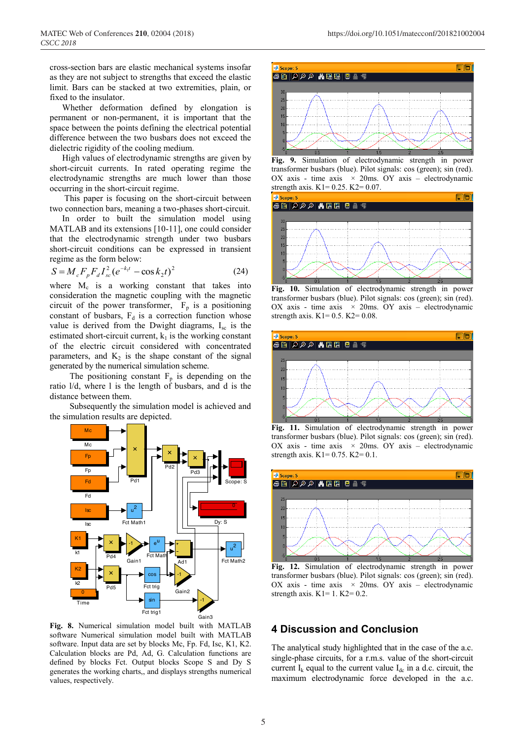cross-section bars are elastic mechanical systems insofar as they are not subject to strengths that exceed the elastic limit. Bars can be stacked at two extremities, plain, or fixed to the insulator.

Whether deformation defined by elongation is permanent or non-permanent, it is important that the space between the points defining the electrical potential difference between the two busbars does not exceed the dielectric rigidity of the cooling medium.

High values of electrodynamic strengths are given by short-circuit currents. In rated operating regime the electrodynamic strengths are much lower than those occurring in the short-circuit regime.

This paper is focusing on the short-circuit between two connection bars, meaning a two-phases short-circuit.

In order to built the simulation model using MATLAB and its extensions [10-11], one could consider that the electrodynamic strength under two busbars short-circuit conditions can be expressed in transient regime as the form below: 2

$$
S = M_c F_p F_d I_{sc}^2 (e^{-k_1 t} - \cos k_2 t)^2
$$
 (24)

where  $M_c$  is a working constant that takes into consideration the magnetic coupling with the magnetic circuit of the power transformer,  $F_p$  is a positioning constant of busbars,  $F_d$  is a correction function whose value is derived from the Dwight diagrams,  $I_{\rm sc}$  is the estimated short-circuit current,  $k_1$  is the working constant of the electric circuit considered with concentrated parameters, and  $K_2$  is the shape constant of the signal generated by the numerical simulation scheme.

The positioning constant  $F_p$  is depending on the ratio l/d, where l is the length of busbars, and d is the distance between them.

Subsequently the simulation model is achieved and the simulation results are depicted.



**Fig. 8.** Numerical simulation model built with MATLAB software Numerical simulation model built with MATLAB software. Input data are set by blocks Mc, Fp. Fd, Isc, K1, K2. Calculation blocks are Pd, Ad, G. Calculation functions are defined by blocks Fct. Output blocks Scope S and Dy S generates the working charts,, and displays strengths numerical values, respectively.



**Fig. 9.** Simulation of electrodynamic strength in power transformer busbars (blue). Pilot signals: cos (green); sin (red). OX axis - time axis  $\times$  20ms. OY axis – electrodynamic strength axis. K1= 0.25. K2= 0.07.



**Fig. 10.** Simulation of electrodynamic strength in power transformer busbars (blue). Pilot signals: cos (green); sin (red). OX axis - time axis  $\times$  20ms. OY axis – electrodynamic strength axis.  $K1 = 0.5$ .  $K2 = 0.08$ .



**Fig. 11.** Simulation of electrodynamic strength in power transformer busbars (blue). Pilot signals: cos (green); sin (red). OX axis - time axis  $\times$  20ms. OY axis - electrodynamic strength axis.  $K1 = 0.75$ .  $K2 = 0.1$ .



**Fig. 12.** Simulation of electrodynamic strength in power transformer busbars (blue). Pilot signals: cos (green); sin (red). OX axis - time axis  $\times$  20ms. OY axis – electrodynamic strength axis.  $K1=1$ .  $K2=0.2$ .

## **4 Discussion and Conclusion**

The analytical study highlighted that in the case of the a.c. single-phase circuits, for a r.m.s. value of the short-circuit current  $I_k$  equal to the current value  $I_{dc}$  in a d.c. circuit, the maximum electrodynamic force developed in the a.c.